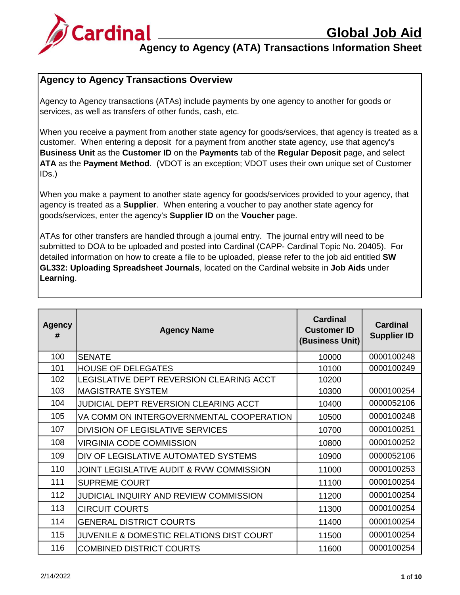

### **Agency to Agency (ATA) Transactions Information Sheet**

#### **Agency to Agency Transactions Overview**

Agency to Agency transactions (ATAs) include payments by one agency to another for goods or services, as well as transfers of other funds, cash, etc.

When you receive a payment from another state agency for goods/services, that agency is treated as a customer. When entering a deposit for a payment from another state agency, use that agency's **Business Unit** as the **Customer ID** on the **Payments** tab of the **Regular Deposit** page, and select **ATA** as the **Payment Method**. (VDOT is an exception; VDOT uses their own unique set of Customer IDs.)

When you make a payment to another state agency for goods/services provided to your agency, that agency is treated as a **Supplier**. When entering a voucher to pay another state agency for goods/services, enter the agency's **Supplier ID** on the **Voucher** page.

ATAs for other transfers are handled through a journal entry. The journal entry will need to be submitted to DOA to be uploaded and posted into Cardinal (CAPP- Cardinal Topic No. 20405). For detailed information on how to create a file to be uploaded, please refer to the job aid entitled **SW GL332: Uploading Spreadsheet Journals**, located on the Cardinal website in **Job Aids** under **Learning**.

| <b>Agency</b><br># | <b>Agency Name</b>                                  | <b>Cardinal</b><br><b>Customer ID</b><br>(Business Unit) | <b>Cardinal</b><br><b>Supplier ID</b> |
|--------------------|-----------------------------------------------------|----------------------------------------------------------|---------------------------------------|
| 100                | <b>SENATE</b>                                       | 10000                                                    | 0000100248                            |
| 101                | <b>HOUSE OF DELEGATES</b>                           | 10100                                                    | 0000100249                            |
| 102                | LEGISLATIVE DEPT REVERSION CLEARING ACCT            | 10200                                                    |                                       |
| 103                | <b>MAGISTRATE SYSTEM</b>                            | 10300                                                    | 0000100254                            |
| 104                | JUDICIAL DEPT REVERSION CLEARING ACCT               | 10400                                                    | 0000052106                            |
| 105                | VA COMM ON INTERGOVERNMENTAL COOPERATION            | 10500                                                    | 0000100248                            |
| 107                | <b>DIVISION OF LEGISLATIVE SERVICES</b>             | 10700                                                    | 0000100251                            |
| 108                | <b>VIRGINIA CODE COMMISSION</b>                     | 10800                                                    | 0000100252                            |
| 109                | DIV OF LEGISLATIVE AUTOMATED SYSTEMS                | 10900                                                    | 0000052106                            |
| 110                | JOINT LEGISLATIVE AUDIT & RVW COMMISSION            | 11000                                                    | 0000100253                            |
| 111                | <b>SUPREME COURT</b>                                | 11100                                                    | 0000100254                            |
| 112                | JUDICIAL INQUIRY AND REVIEW COMMISSION              | 11200                                                    | 0000100254                            |
| 113                | <b>CIRCUIT COURTS</b>                               | 11300                                                    | 0000100254                            |
| 114                | <b>GENERAL DISTRICT COURTS</b>                      | 11400                                                    | 0000100254                            |
| 115                | <b>JUVENILE &amp; DOMESTIC RELATIONS DIST COURT</b> | 11500                                                    | 0000100254                            |
| 116                | <b>COMBINED DISTRICT COURTS</b>                     | 11600                                                    | 0000100254                            |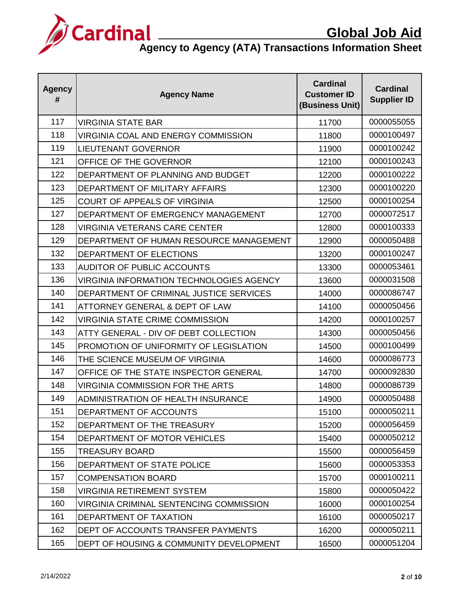

| <b>Agency</b><br># | <b>Agency Name</b>                              | <b>Cardinal</b><br><b>Customer ID</b><br>(Business Unit) | <b>Cardinal</b><br><b>Supplier ID</b> |
|--------------------|-------------------------------------------------|----------------------------------------------------------|---------------------------------------|
| 117                | <b>VIRGINIA STATE BAR</b>                       | 11700                                                    | 0000055055                            |
| 118                | VIRGINIA COAL AND ENERGY COMMISSION             | 11800                                                    | 0000100497                            |
| 119                | <b>LIEUTENANT GOVERNOR</b>                      | 11900                                                    | 0000100242                            |
| 121                | OFFICE OF THE GOVERNOR                          | 12100                                                    | 0000100243                            |
| 122                | DEPARTMENT OF PLANNING AND BUDGET               | 12200                                                    | 0000100222                            |
| 123                | DEPARTMENT OF MILITARY AFFAIRS                  | 12300                                                    | 0000100220                            |
| 125                | COURT OF APPEALS OF VIRGINIA                    | 12500                                                    | 0000100254                            |
| 127                | DEPARTMENT OF EMERGENCY MANAGEMENT              | 12700                                                    | 0000072517                            |
| 128                | <b>VIRGINIA VETERANS CARE CENTER</b>            | 12800                                                    | 0000100333                            |
| 129                | DEPARTMENT OF HUMAN RESOURCE MANAGEMENT         | 12900                                                    | 0000050488                            |
| 132                | DEPARTMENT OF ELECTIONS                         | 13200                                                    | 0000100247                            |
| 133                | <b>AUDITOR OF PUBLIC ACCOUNTS</b>               | 13300                                                    | 0000053461                            |
| 136                | <b>VIRGINIA INFORMATION TECHNOLOGIES AGENCY</b> | 13600                                                    | 0000031508                            |
| 140                | DEPARTMENT OF CRIMINAL JUSTICE SERVICES         | 14000                                                    | 0000086747                            |
| 141                | ATTORNEY GENERAL & DEPT OF LAW                  | 14100                                                    | 0000050456                            |
| 142                | <b>VIRGINIA STATE CRIME COMMISSION</b>          | 14200                                                    | 0000100257                            |
| 143                | ATTY GENERAL - DIV OF DEBT COLLECTION           | 14300                                                    | 0000050456                            |
| 145                | PROMOTION OF UNIFORMITY OF LEGISLATION          | 14500                                                    | 0000100499                            |
| 146                | THE SCIENCE MUSEUM OF VIRGINIA                  | 14600                                                    | 0000086773                            |
| 147                | OFFICE OF THE STATE INSPECTOR GENERAL           | 14700                                                    | 0000092830                            |
| 148                | VIRGINIA COMMISSION FOR THE ARTS                | 14800                                                    | 0000086739                            |
| 149                | ADMINISTRATION OF HEALTH INSURANCE              | 14900                                                    | 0000050488                            |
| 151                | DEPARTMENT OF ACCOUNTS                          | 15100                                                    | 0000050211                            |
| 152                | DEPARTMENT OF THE TREASURY                      | 15200                                                    | 0000056459                            |
| 154                | DEPARTMENT OF MOTOR VEHICLES                    | 15400                                                    | 0000050212                            |
| 155                | <b>TREASURY BOARD</b>                           | 15500                                                    | 0000056459                            |
| 156                | DEPARTMENT OF STATE POLICE                      | 15600                                                    | 0000053353                            |
| 157                | <b>COMPENSATION BOARD</b>                       | 15700                                                    | 0000100211                            |
| 158                | <b>VIRGINIA RETIREMENT SYSTEM</b>               | 15800                                                    | 0000050422                            |
| 160                | VIRGINIA CRIMINAL SENTENCING COMMISSION         | 16000                                                    | 0000100254                            |
| 161                | DEPARTMENT OF TAXATION                          | 16100                                                    | 0000050217                            |
| 162                | DEPT OF ACCOUNTS TRANSFER PAYMENTS              | 16200                                                    | 0000050211                            |
| 165                | DEPT OF HOUSING & COMMUNITY DEVELOPMENT         | 16500                                                    | 0000051204                            |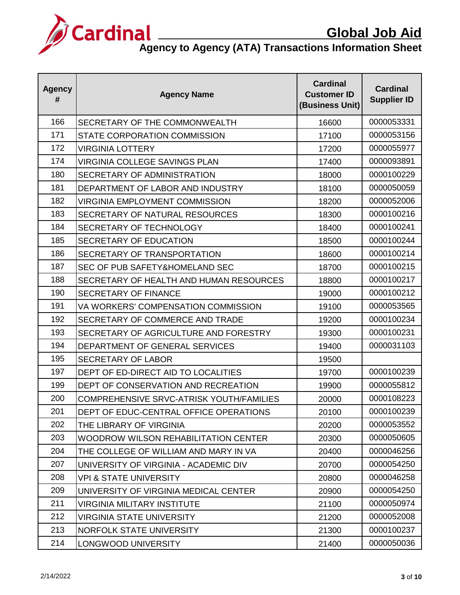

| <b>Agency</b><br># | <b>Agency Name</b>                          | <b>Cardinal</b><br><b>Customer ID</b><br>(Business Unit) | <b>Cardinal</b><br><b>Supplier ID</b> |
|--------------------|---------------------------------------------|----------------------------------------------------------|---------------------------------------|
| 166                | SECRETARY OF THE COMMONWEALTH               | 16600                                                    | 0000053331                            |
| 171                | STATE CORPORATION COMMISSION                | 17100                                                    | 0000053156                            |
| 172                | VIRGINIA LOTTERY                            | 17200                                                    | 0000055977                            |
| 174                | <b>VIRGINIA COLLEGE SAVINGS PLAN</b>        | 17400                                                    | 0000093891                            |
| 180                | SECRETARY OF ADMINISTRATION                 | 18000                                                    | 0000100229                            |
| 181                | DEPARTMENT OF LABOR AND INDUSTRY            | 18100                                                    | 0000050059                            |
| 182                | VIRGINIA EMPLOYMENT COMMISSION              | 18200                                                    | 0000052006                            |
| 183                | SECRETARY OF NATURAL RESOURCES              | 18300                                                    | 0000100216                            |
| 184                | SECRETARY OF TECHNOLOGY                     | 18400                                                    | 0000100241                            |
| 185                | SECRETARY OF EDUCATION                      | 18500                                                    | 0000100244                            |
| 186                | SECRETARY OF TRANSPORTATION                 | 18600                                                    | 0000100214                            |
| 187                | SEC OF PUB SAFETY&HOMELAND SEC              | 18700                                                    | 0000100215                            |
| 188                | SECRETARY OF HEALTH AND HUMAN RESOURCES     | 18800                                                    | 0000100217                            |
| 190                | <b>SECRETARY OF FINANCE</b>                 | 19000                                                    | 0000100212                            |
| 191                | VA WORKERS' COMPENSATION COMMISSION         | 19100                                                    | 0000053565                            |
| 192                | SECRETARY OF COMMERCE AND TRADE             | 19200                                                    | 0000100234                            |
| 193                | SECRETARY OF AGRICULTURE AND FORESTRY       | 19300                                                    | 0000100231                            |
| 194                | DEPARTMENT OF GENERAL SERVICES              | 19400                                                    | 0000031103                            |
| 195                | <b>SECRETARY OF LABOR</b>                   | 19500                                                    |                                       |
| 197                | DEPT OF ED-DIRECT AID TO LOCALITIES         | 19700                                                    | 0000100239                            |
| 199                | DEPT OF CONSERVATION AND RECREATION         | 19900                                                    | 0000055812                            |
| 200                | COMPREHENSIVE SRVC-ATRISK YOUTH/FAMILIES    | 20000                                                    | 0000108223                            |
| 201                | DEPT OF EDUC-CENTRAL OFFICE OPERATIONS      | 20100                                                    | 0000100239                            |
| 202                | THE LIBRARY OF VIRGINIA                     | 20200                                                    | 0000053552                            |
| 203                | <b>WOODROW WILSON REHABILITATION CENTER</b> | 20300                                                    | 0000050605                            |
| 204                | THE COLLEGE OF WILLIAM AND MARY IN VA       | 20400                                                    | 0000046256                            |
| 207                | UNIVERSITY OF VIRGINIA - ACADEMIC DIV       | 20700                                                    | 0000054250                            |
| 208                | VPI & STATE UNIVERSITY                      | 20800                                                    | 0000046258                            |
| 209                | UNIVERSITY OF VIRGINIA MEDICAL CENTER       | 20900                                                    | 0000054250                            |
| 211                | VIRGINIA MILITARY INSTITUTE                 | 21100                                                    | 0000050974                            |
| 212                | VIRGINIA STATE UNIVERSITY                   | 21200                                                    | 0000052008                            |
| 213                | NORFOLK STATE UNIVERSITY                    | 21300                                                    | 0000100237                            |
| 214                | <b>LONGWOOD UNIVERSITY</b>                  | 21400                                                    | 0000050036                            |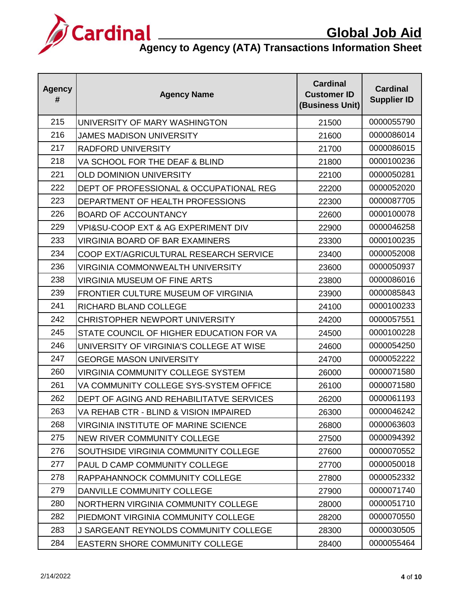

| <b>Agency</b><br># | <b>Agency Name</b>                                 | <b>Cardinal</b><br><b>Customer ID</b><br>(Business Unit) | <b>Cardinal</b><br><b>Supplier ID</b> |
|--------------------|----------------------------------------------------|----------------------------------------------------------|---------------------------------------|
| 215                | UNIVERSITY OF MARY WASHINGTON                      | 21500                                                    | 0000055790                            |
| 216                | <b>JAMES MADISON UNIVERSITY</b>                    | 21600                                                    | 0000086014                            |
| 217                | <b>RADFORD UNIVERSITY</b>                          | 21700                                                    | 0000086015                            |
| 218                | VA SCHOOL FOR THE DEAF & BLIND                     | 21800                                                    | 0000100236                            |
| 221                | <b>OLD DOMINION UNIVERSITY</b>                     | 22100                                                    | 0000050281                            |
| 222                | DEPT OF PROFESSIONAL & OCCUPATIONAL REG            | 22200                                                    | 0000052020                            |
| 223                | DEPARTMENT OF HEALTH PROFESSIONS                   | 22300                                                    | 0000087705                            |
| 226                | <b>BOARD OF ACCOUNTANCY</b>                        | 22600                                                    | 0000100078                            |
| 229                | <b>VPI&amp;SU-COOP EXT &amp; AG EXPERIMENT DIV</b> | 22900                                                    | 0000046258                            |
| 233                | <b>VIRGINIA BOARD OF BAR EXAMINERS</b>             | 23300                                                    | 0000100235                            |
| 234                | COOP EXT/AGRICULTURAL RESEARCH SERVICE             | 23400                                                    | 0000052008                            |
| 236                | VIRGINIA COMMONWEALTH UNIVERSITY                   | 23600                                                    | 0000050937                            |
| 238                | <b>VIRGINIA MUSEUM OF FINE ARTS</b>                | 23800                                                    | 0000086016                            |
| 239                | FRONTIER CULTURE MUSEUM OF VIRGINIA                | 23900                                                    | 0000085843                            |
| 241                | RICHARD BLAND COLLEGE                              | 24100                                                    | 0000100233                            |
| 242                | CHRISTOPHER NEWPORT UNIVERSITY                     | 24200                                                    | 0000057551                            |
| 245                | STATE COUNCIL OF HIGHER EDUCATION FOR VA           | 24500                                                    | 0000100228                            |
| 246                | UNIVERSITY OF VIRGINIA'S COLLEGE AT WISE           | 24600                                                    | 0000054250                            |
| 247                | <b>GEORGE MASON UNIVERSITY</b>                     | 24700                                                    | 0000052222                            |
| 260                | <b>VIRGINIA COMMUNITY COLLEGE SYSTEM</b>           | 26000                                                    | 0000071580                            |
| 261                | VA COMMUNITY COLLEGE SYS-SYSTEM OFFICE             | 26100                                                    | 0000071580                            |
| 262                | DEPT OF AGING AND REHABILITATVE SERVICES           | 26200                                                    | 0000061193                            |
| 263                | VA REHAB CTR - BLIND & VISION IMPAIRED             | 26300                                                    | 0000046242                            |
| 268                | VIRGINIA INSTITUTE OF MARINE SCIENCE               | 26800                                                    | 0000063603                            |
| 275                | <b>NEW RIVER COMMUNITY COLLEGE</b>                 | 27500                                                    | 0000094392                            |
| 276                | SOUTHSIDE VIRGINIA COMMUNITY COLLEGE               | 27600                                                    | 0000070552                            |
| 277                | PAUL D CAMP COMMUNITY COLLEGE                      | 27700                                                    | 0000050018                            |
| 278                | RAPPAHANNOCK COMMUNITY COLLEGE                     | 27800                                                    | 0000052332                            |
| 279                | DANVILLE COMMUNITY COLLEGE                         | 27900                                                    | 0000071740                            |
| 280                | NORTHERN VIRGINIA COMMUNITY COLLEGE                | 28000                                                    | 0000051710                            |
| 282                | PIEDMONT VIRGINIA COMMUNITY COLLEGE                | 28200                                                    | 0000070550                            |
| 283                | <b>J SARGEANT REYNOLDS COMMUNITY COLLEGE</b>       | 28300                                                    | 0000030505                            |
| 284                | EASTERN SHORE COMMUNITY COLLEGE                    | 28400                                                    | 0000055464                            |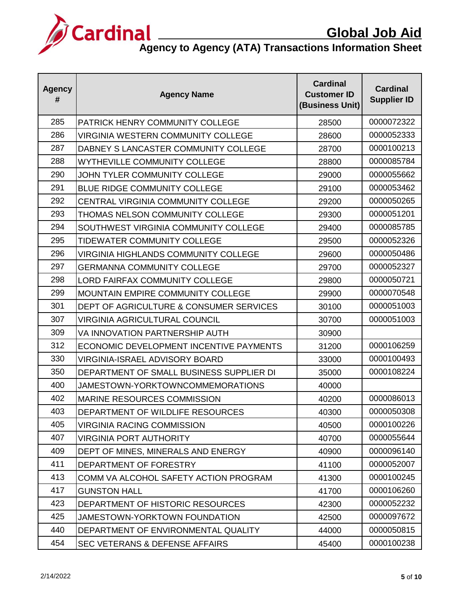

| <b>Agency</b><br># | <b>Agency Name</b>                          | <b>Cardinal</b><br><b>Customer ID</b><br>(Business Unit) | <b>Cardinal</b><br><b>Supplier ID</b> |
|--------------------|---------------------------------------------|----------------------------------------------------------|---------------------------------------|
| 285                | PATRICK HENRY COMMUNITY COLLEGE             | 28500                                                    | 0000072322                            |
| 286                | <b>VIRGINIA WESTERN COMMUNITY COLLEGE</b>   | 28600                                                    | 0000052333                            |
| 287                | DABNEY S LANCASTER COMMUNITY COLLEGE        | 28700                                                    | 0000100213                            |
| 288                | <b>WYTHEVILLE COMMUNITY COLLEGE</b>         | 28800                                                    | 0000085784                            |
| 290                | JOHN TYLER COMMUNITY COLLEGE                | 29000                                                    | 0000055662                            |
| 291                | <b>BLUE RIDGE COMMUNITY COLLEGE</b>         | 29100                                                    | 0000053462                            |
| 292                | CENTRAL VIRGINIA COMMUNITY COLLEGE          | 29200                                                    | 0000050265                            |
| 293                | <b>THOMAS NELSON COMMUNITY COLLEGE</b>      | 29300                                                    | 0000051201                            |
| 294                | SOUTHWEST VIRGINIA COMMUNITY COLLEGE        | 29400                                                    | 0000085785                            |
| 295                | TIDEWATER COMMUNITY COLLEGE                 | 29500                                                    | 0000052326                            |
| 296                | <b>VIRGINIA HIGHLANDS COMMUNITY COLLEGE</b> | 29600                                                    | 0000050486                            |
| 297                | <b>GERMANNA COMMUNITY COLLEGE</b>           | 29700                                                    | 0000052327                            |
| 298                | <b>LORD FAIRFAX COMMUNITY COLLEGE</b>       | 29800                                                    | 0000050721                            |
| 299                | <b>MOUNTAIN EMPIRE COMMUNITY COLLEGE</b>    | 29900                                                    | 0000070548                            |
| 301                | DEPT OF AGRICULTURE & CONSUMER SERVICES     | 30100                                                    | 0000051003                            |
| 307                | <b>VIRGINIA AGRICULTURAL COUNCIL</b>        | 30700                                                    | 0000051003                            |
| 309                | VA INNOVATION PARTNERSHIP AUTH              | 30900                                                    |                                       |
| 312                | ECONOMIC DEVELOPMENT INCENTIVE PAYMENTS     | 31200                                                    | 0000106259                            |
| 330                | <b>VIRGINIA-ISRAEL ADVISORY BOARD</b>       | 33000                                                    | 0000100493                            |
| 350                | DEPARTMENT OF SMALL BUSINESS SUPPLIER DI    | 35000                                                    | 0000108224                            |
| 400                | JAMESTOWN-YORKTOWNCOMMEMORATIONS            | 40000                                                    |                                       |
| 402                | <b>MARINE RESOURCES COMMISSION</b>          | 40200                                                    | 0000086013                            |
| 403                | DEPARTMENT OF WILDLIFE RESOURCES            | 40300                                                    | 0000050308                            |
| 405                | <b>VIRGINIA RACING COMMISSION</b>           | 40500                                                    | 0000100226                            |
| 407                | <b>VIRGINIA PORT AUTHORITY</b>              | 40700                                                    | 0000055644                            |
| 409                | DEPT OF MINES, MINERALS AND ENERGY          | 40900                                                    | 0000096140                            |
| 411                | DEPARTMENT OF FORESTRY                      | 41100                                                    | 0000052007                            |
| 413                | COMM VA ALCOHOL SAFETY ACTION PROGRAM       | 41300                                                    | 0000100245                            |
| 417                | <b>GUNSTON HALL</b>                         | 41700                                                    | 0000106260                            |
| 423                | DEPARTMENT OF HISTORIC RESOURCES            | 42300                                                    | 0000052232                            |
| 425                | JAMESTOWN-YORKTOWN FOUNDATION               | 42500                                                    | 0000097672                            |
| 440                | DEPARTMENT OF ENVIRONMENTAL QUALITY         | 44000                                                    | 0000050815                            |
| 454                | <b>SEC VETERANS &amp; DEFENSE AFFAIRS</b>   | 45400                                                    | 0000100238                            |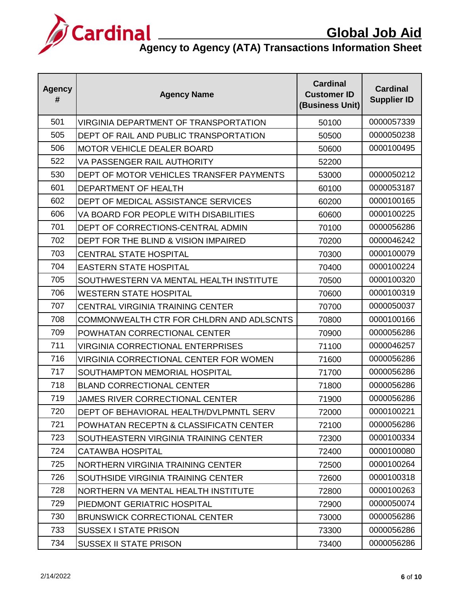

| <b>Agency</b><br># | <b>Agency Name</b>                           | <b>Cardinal</b><br><b>Customer ID</b><br>(Business Unit) | <b>Cardinal</b><br><b>Supplier ID</b> |
|--------------------|----------------------------------------------|----------------------------------------------------------|---------------------------------------|
| 501                | <b>VIRGINIA DEPARTMENT OF TRANSPORTATION</b> | 50100                                                    | 0000057339                            |
| 505                | DEPT OF RAIL AND PUBLIC TRANSPORTATION       | 50500                                                    | 0000050238                            |
| 506                | <b>MOTOR VEHICLE DEALER BOARD</b>            | 50600                                                    | 0000100495                            |
| 522                | VA PASSENGER RAIL AUTHORITY                  | 52200                                                    |                                       |
| 530                | DEPT OF MOTOR VEHICLES TRANSFER PAYMENTS     | 53000                                                    | 0000050212                            |
| 601                | DEPARTMENT OF HEALTH                         | 60100                                                    | 0000053187                            |
| 602                | DEPT OF MEDICAL ASSISTANCE SERVICES          | 60200                                                    | 0000100165                            |
| 606                | VA BOARD FOR PEOPLE WITH DISABILITIES        | 60600                                                    | 0000100225                            |
| 701                | DEPT OF CORRECTIONS-CENTRAL ADMIN            | 70100                                                    | 0000056286                            |
| 702                | DEPT FOR THE BLIND & VISION IMPAIRED         | 70200                                                    | 0000046242                            |
| 703                | <b>CENTRAL STATE HOSPITAL</b>                | 70300                                                    | 0000100079                            |
| 704                | <b>EASTERN STATE HOSPITAL</b>                | 70400                                                    | 0000100224                            |
| 705                | SOUTHWESTERN VA MENTAL HEALTH INSTITUTE      | 70500                                                    | 0000100320                            |
| 706                | <b>WESTERN STATE HOSPITAL</b>                | 70600                                                    | 0000100319                            |
| 707                | <b>CENTRAL VIRGINIA TRAINING CENTER</b>      | 70700                                                    | 0000050037                            |
| 708                | COMMONWEALTH CTR FOR CHLDRN AND ADLSCNTS     | 70800                                                    | 0000100166                            |
| 709                | POWHATAN CORRECTIONAL CENTER                 | 70900                                                    | 0000056286                            |
| 711                | <b>VIRGINIA CORRECTIONAL ENTERPRISES</b>     | 71100                                                    | 0000046257                            |
| 716                | VIRGINIA CORRECTIONAL CENTER FOR WOMEN       | 71600                                                    | 0000056286                            |
| 717                | SOUTHAMPTON MEMORIAL HOSPITAL                | 71700                                                    | 0000056286                            |
| 718                | <b>BLAND CORRECTIONAL CENTER</b>             | 71800                                                    | 0000056286                            |
| 719                | <b>JAMES RIVER CORRECTIONAL CENTER</b>       | 71900                                                    | 0000056286                            |
| 720                | DEPT OF BEHAVIORAL HEALTH/DVLPMNTL SERV      | 72000                                                    | 0000100221                            |
| 721                | POWHATAN RECEPTN & CLASSIFICATN CENTER       | 72100                                                    | 0000056286                            |
| 723                | SOUTHEASTERN VIRGINIA TRAINING CENTER        | 72300                                                    | 0000100334                            |
| 724                | <b>CATAWBA HOSPITAL</b>                      | 72400                                                    | 0000100080                            |
| 725                | NORTHERN VIRGINIA TRAINING CENTER            | 72500                                                    | 0000100264                            |
| 726                | SOUTHSIDE VIRGINIA TRAINING CENTER           | 72600                                                    | 0000100318                            |
| 728                | NORTHERN VA MENTAL HEALTH INSTITUTE          | 72800                                                    | 0000100263                            |
| 729                | PIEDMONT GERIATRIC HOSPITAL                  | 72900                                                    | 0000050074                            |
| 730                | <b>BRUNSWICK CORRECTIONAL CENTER</b>         | 73000                                                    | 0000056286                            |
| 733                | <b>SUSSEX I STATE PRISON</b>                 | 73300                                                    | 0000056286                            |
| 734                | <b>SUSSEX II STATE PRISON</b>                | 73400                                                    | 0000056286                            |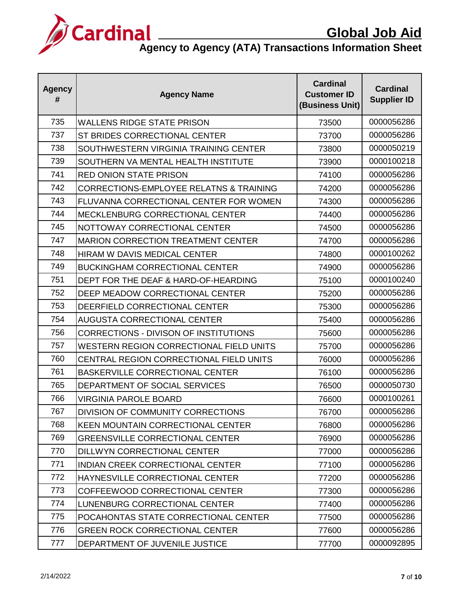

| <b>Agency</b><br># | <b>Agency Name</b>                                 | <b>Cardinal</b><br><b>Customer ID</b><br>(Business Unit) | <b>Cardinal</b><br><b>Supplier ID</b> |
|--------------------|----------------------------------------------------|----------------------------------------------------------|---------------------------------------|
| 735                | <b>WALLENS RIDGE STATE PRISON</b>                  | 73500                                                    | 0000056286                            |
| 737                | ST BRIDES CORRECTIONAL CENTER                      | 73700                                                    | 0000056286                            |
| 738                | SOUTHWESTERN VIRGINIA TRAINING CENTER              | 73800                                                    | 0000050219                            |
| 739                | SOUTHERN VA MENTAL HEALTH INSTITUTE                | 73900                                                    | 0000100218                            |
| 741                | <b>RED ONION STATE PRISON</b>                      | 74100                                                    | 0000056286                            |
| 742                | <b>CORRECTIONS-EMPLOYEE RELATNS &amp; TRAINING</b> | 74200                                                    | 0000056286                            |
| 743                | FLUVANNA CORRECTIONAL CENTER FOR WOMEN             | 74300                                                    | 0000056286                            |
| 744                | <b>MECKLENBURG CORRECTIONAL CENTER</b>             | 74400                                                    | 0000056286                            |
| 745                | NOTTOWAY CORRECTIONAL CENTER                       | 74500                                                    | 0000056286                            |
| 747                | <b>MARION CORRECTION TREATMENT CENTER</b>          | 74700                                                    | 0000056286                            |
| 748                | <b>HIRAM W DAVIS MEDICAL CENTER</b>                | 74800                                                    | 0000100262                            |
| 749                | <b>BUCKINGHAM CORRECTIONAL CENTER</b>              | 74900                                                    | 0000056286                            |
| 751                | DEPT FOR THE DEAF & HARD-OF-HEARDING               | 75100                                                    | 0000100240                            |
| 752                | DEEP MEADOW CORRECTIONAL CENTER                    | 75200                                                    | 0000056286                            |
| 753                | DEERFIELD CORRECTIONAL CENTER                      | 75300                                                    | 0000056286                            |
| 754                | <b>AUGUSTA CORRECTIONAL CENTER</b>                 | 75400                                                    | 0000056286                            |
| 756                | CORRECTIONS - DIVISON OF INSTITUTIONS              | 75600                                                    | 0000056286                            |
| 757                | <b>WESTERN REGION CORRECTIONAL FIELD UNITS</b>     | 75700                                                    | 0000056286                            |
| 760                | CENTRAL REGION CORRECTIONAL FIELD UNITS            | 76000                                                    | 0000056286                            |
| 761                | <b>BASKERVILLE CORRECTIONAL CENTER</b>             | 76100                                                    | 0000056286                            |
| 765                | DEPARTMENT OF SOCIAL SERVICES                      | 76500                                                    | 0000050730                            |
| 766                | <b>VIRGINIA PAROLE BOARD</b>                       | 76600                                                    | 0000100261                            |
| 767                | DIVISION OF COMMUNITY CORRECTIONS                  | 76700                                                    | 0000056286                            |
| 768                | <b>KEEN MOUNTAIN CORRECTIONAL CENTER</b>           | 76800                                                    | 0000056286                            |
| 769                | <b>GREENSVILLE CORRECTIONAL CENTER</b>             | 76900                                                    | 0000056286                            |
| 770                | <b>DILLWYN CORRECTIONAL CENTER</b>                 | 77000                                                    | 0000056286                            |
| 771                | <b>INDIAN CREEK CORRECTIONAL CENTER</b>            | 77100                                                    | 0000056286                            |
| 772                | HAYNESVILLE CORRECTIONAL CENTER                    | 77200                                                    | 0000056286                            |
| 773                | COFFEEWOOD CORRECTIONAL CENTER                     | 77300                                                    | 0000056286                            |
| 774                | LUNENBURG CORRECTIONAL CENTER                      | 77400                                                    | 0000056286                            |
| 775                | POCAHONTAS STATE CORRECTIONAL CENTER               | 77500                                                    | 0000056286                            |
| 776                | <b>GREEN ROCK CORRECTIONAL CENTER</b>              | 77600                                                    | 0000056286                            |
| 777                | DEPARTMENT OF JUVENILE JUSTICE                     | 77700                                                    | 0000092895                            |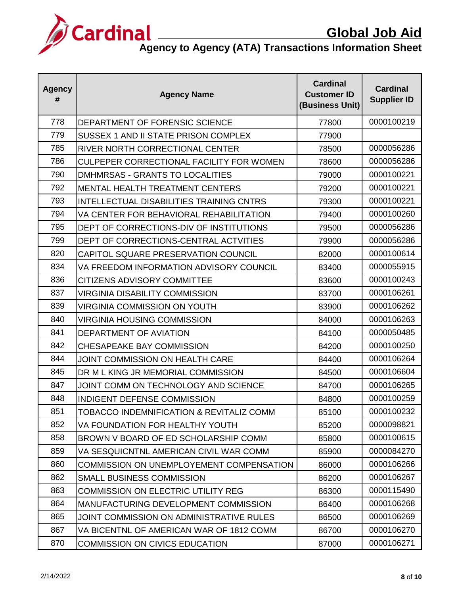

| <b>Agency</b><br># | <b>Agency Name</b>                              | <b>Cardinal</b><br><b>Customer ID</b><br>(Business Unit) | <b>Cardinal</b><br><b>Supplier ID</b> |
|--------------------|-------------------------------------------------|----------------------------------------------------------|---------------------------------------|
| 778                | DEPARTMENT OF FORENSIC SCIENCE                  | 77800                                                    | 0000100219                            |
| 779                | SUSSEX 1 AND II STATE PRISON COMPLEX            | 77900                                                    |                                       |
| 785                | RIVER NORTH CORRECTIONAL CENTER                 | 78500                                                    | 0000056286                            |
| 786                | CULPEPER CORRECTIONAL FACILITY FOR WOMEN        | 78600                                                    | 0000056286                            |
| 790                | DMHMRSAS - GRANTS TO LOCALITIES                 | 79000                                                    | 0000100221                            |
| 792                | <b>MENTAL HEALTH TREATMENT CENTERS</b>          | 79200                                                    | 0000100221                            |
| 793                | <b>INTELLECTUAL DISABILITIES TRAINING CNTRS</b> | 79300                                                    | 0000100221                            |
| 794                | VA CENTER FOR BEHAVIORAL REHABILITATION         | 79400                                                    | 0000100260                            |
| 795                | DEPT OF CORRECTIONS-DIV OF INSTITUTIONS         | 79500                                                    | 0000056286                            |
| 799                | DEPT OF CORRECTIONS-CENTRAL ACTVITIES           | 79900                                                    | 0000056286                            |
| 820                | CAPITOL SQUARE PRESERVATION COUNCIL             | 82000                                                    | 0000100614                            |
| 834                | VA FREEDOM INFORMATION ADVISORY COUNCIL         | 83400                                                    | 0000055915                            |
| 836                | <b>CITIZENS ADVISORY COMMITTEE</b>              | 83600                                                    | 0000100243                            |
| 837                | <b>VIRGINIA DISABILITY COMMISSION</b>           | 83700                                                    | 0000106261                            |
| 839                | <b>VIRGINIA COMMISSION ON YOUTH</b>             | 83900                                                    | 0000106262                            |
| 840                | <b>VIRGINIA HOUSING COMMISSION</b>              | 84000                                                    | 0000106263                            |
| 841                | DEPARTMENT OF AVIATION                          | 84100                                                    | 0000050485                            |
| 842                | <b>CHESAPEAKE BAY COMMISSION</b>                | 84200                                                    | 0000100250                            |
| 844                | <b>JOINT COMMISSION ON HEALTH CARE</b>          | 84400                                                    | 0000106264                            |
| 845                | DR M L KING JR MEMORIAL COMMISSION              | 84500                                                    | 0000106604                            |
| 847                | JOINT COMM ON TECHNOLOGY AND SCIENCE            | 84700                                                    | 0000106265                            |
| 848                | INDIGENT DEFENSE COMMISSION                     | 84800                                                    | 0000100259                            |
| 851                | TOBACCO INDEMNIFICATION & REVITALIZ COMM        | 85100                                                    | 0000100232                            |
| 852                | VA FOUNDATION FOR HEALTHY YOUTH                 | 85200                                                    | 0000098821                            |
| 858                | BROWN V BOARD OF ED SCHOLARSHIP COMM            | 85800                                                    | 0000100615                            |
| 859                | VA SESQUICNTNL AMERICAN CIVIL WAR COMM.         | 85900                                                    | 0000084270                            |
| 860                | <b>COMMISSION ON UNEMPLOYEMENT COMPENSATION</b> | 86000                                                    | 0000106266                            |
| 862                | SMALL BUSINESS COMMISSION                       | 86200                                                    | 0000106267                            |
| 863                | <b>COMMISSION ON ELECTRIC UTILITY REG</b>       | 86300                                                    | 0000115490                            |
| 864                | MANUFACTURING DEVELOPMENT COMMISSION            | 86400                                                    | 0000106268                            |
| 865                | JOINT COMMISSION ON ADMINISTRATIVE RULES        | 86500                                                    | 0000106269                            |
| 867                | VA BICENTNL OF AMERICAN WAR OF 1812 COMM        | 86700                                                    | 0000106270                            |
| 870                | <b>COMMISSION ON CIVICS EDUCATION</b>           | 87000                                                    | 0000106271                            |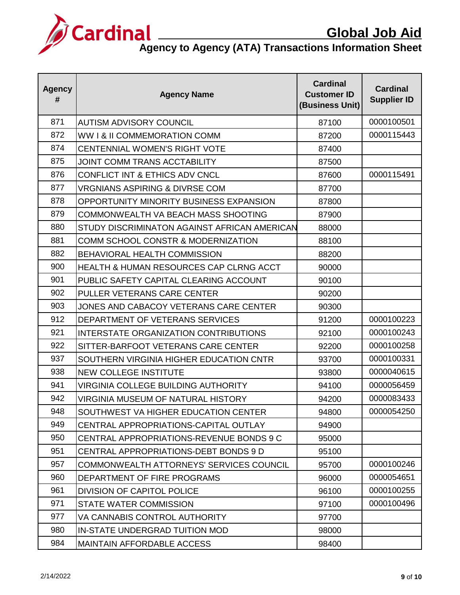

| <b>Agency</b><br># | <b>Agency Name</b>                                 | <b>Cardinal</b><br><b>Customer ID</b><br>(Business Unit) | <b>Cardinal</b><br><b>Supplier ID</b> |
|--------------------|----------------------------------------------------|----------------------------------------------------------|---------------------------------------|
| 871                | <b>AUTISM ADVISORY COUNCIL</b>                     | 87100                                                    | 0000100501                            |
| 872                | WW I & II COMMEMORATION COMM                       | 87200                                                    | 0000115443                            |
| 874                | <b>CENTENNIAL WOMEN'S RIGHT VOTE</b>               | 87400                                                    |                                       |
| 875                | <b>JOINT COMM TRANS ACCTABILITY</b>                | 87500                                                    |                                       |
| 876                | CONFLICT INT & ETHICS ADV CNCL                     | 87600                                                    | 0000115491                            |
| 877                | <b>VRGNIANS ASPIRING &amp; DIVRSE COM</b>          | 87700                                                    |                                       |
| 878                | OPPORTUNITY MINORITY BUSINESS EXPANSION            | 87800                                                    |                                       |
| 879                | COMMONWEALTH VA BEACH MASS SHOOTING                | 87900                                                    |                                       |
| 880                | STUDY DISCRIMINATON AGAINST AFRICAN AMERICAN       | 88000                                                    |                                       |
| 881                | COMM SCHOOL CONSTR & MODERNIZATION                 | 88100                                                    |                                       |
| 882                | <b>BEHAVIORAL HEALTH COMMISSION</b>                | 88200                                                    |                                       |
| 900                | <b>HEALTH &amp; HUMAN RESOURCES CAP CLRNG ACCT</b> | 90000                                                    |                                       |
| 901                | PUBLIC SAFETY CAPITAL CLEARING ACCOUNT             | 90100                                                    |                                       |
| 902                | PULLER VETERANS CARE CENTER                        | 90200                                                    |                                       |
| 903                | JONES AND CABACOY VETERANS CARE CENTER             | 90300                                                    |                                       |
| 912                | DEPARTMENT OF VETERANS SERVICES                    | 91200                                                    | 0000100223                            |
| 921                | <b>INTERSTATE ORGANIZATION CONTRIBUTIONS</b>       | 92100                                                    | 0000100243                            |
| 922                | SITTER-BARFOOT VETERANS CARE CENTER                | 92200                                                    | 0000100258                            |
| 937                | SOUTHERN VIRGINIA HIGHER EDUCATION CNTR            | 93700                                                    | 0000100331                            |
| 938                | <b>NEW COLLEGE INSTITUTE</b>                       | 93800                                                    | 0000040615                            |
| 941                | <b>VIRGINIA COLLEGE BUILDING AUTHORITY</b>         | 94100                                                    | 0000056459                            |
| 942                | VIRGINIA MUSEUM OF NATURAL HISTORY                 | 94200                                                    | 0000083433                            |
| 948                | SOUTHWEST VA HIGHER EDUCATION CENTER               | 94800                                                    | 0000054250                            |
| 949                | CENTRAL APPROPRIATIONS-CAPITAL OUTLAY              | 94900                                                    |                                       |
| 950                | CENTRAL APPROPRIATIONS-REVENUE BONDS 9 C           | 95000                                                    |                                       |
| 951                | CENTRAL APPROPRIATIONS-DEBT BONDS 9 D              | 95100                                                    |                                       |
| 957                | COMMONWEALTH ATTORNEYS' SERVICES COUNCIL           | 95700                                                    | 0000100246                            |
| 960                | DEPARTMENT OF FIRE PROGRAMS                        | 96000                                                    | 0000054651                            |
| 961                | <b>DIVISION OF CAPITOL POLICE</b>                  | 96100                                                    | 0000100255                            |
| 971                | STATE WATER COMMISSION                             | 97100                                                    | 0000100496                            |
| 977                | VA CANNABIS CONTROL AUTHORITY                      | 97700                                                    |                                       |
| 980                | IN-STATE UNDERGRAD TUITION MOD                     | 98000                                                    |                                       |
| 984                | <b>MAINTAIN AFFORDABLE ACCESS</b>                  | 98400                                                    |                                       |